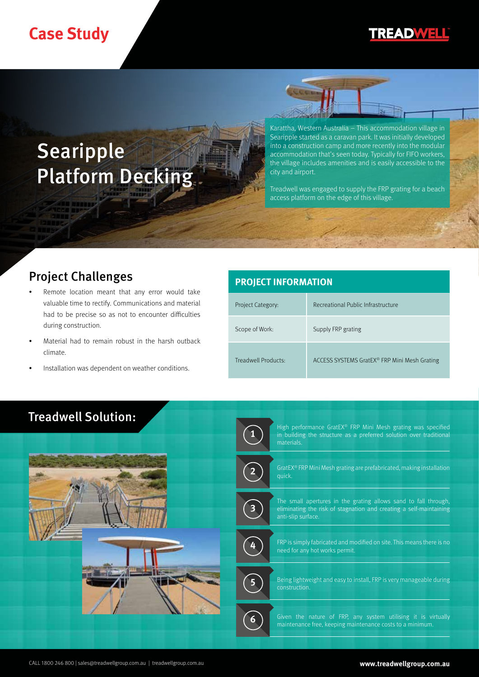# **Case Study**

## **TREADWELL**

# **Searipple** Platform Decking

Karattha, Western Australia – This accommodation village in Searipple started as a caravan park. It was initially developed into a construction camp and more recently into the modular accommodation that's seen today. Typically for FIFO workers, the village includes amenities and is easily accessible to the city and airport.

Treadwell was engaged to supply the FRP grating for a beach access platform on the edge of this village.

## Project Challenges

- Remote location meant that any error would take valuable time to rectify. Communications and material had to be precise so as not to encounter difficulties during construction.
- Material had to remain robust in the harsh outback climate.
- Installation was dependent on weather conditions.

# **PROJECT INFORMATION** Project Category: Recreational Public Infrastructure Scope of Work: Supply FRP grating Treadwell Products: ACCESS SYSTEMS GratEX® FRP Mini Mesh Grating